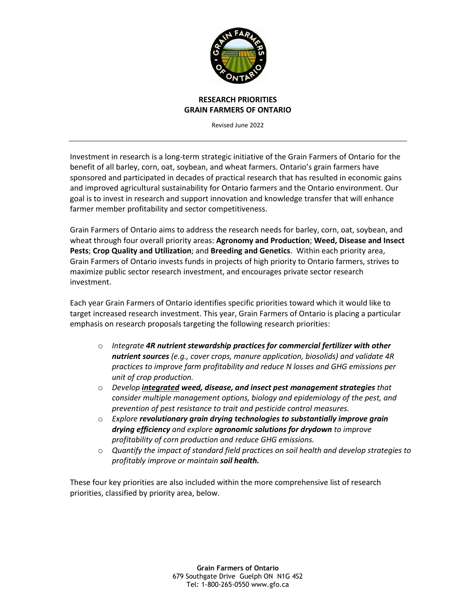

#### **RESEARCH PRIORITIES GRAIN FARMERS OF ONTARIO**

Revised June 2022

Investment in research is a long-term strategic initiative of the Grain Farmers of Ontario for the benefit of all barley, corn, oat, soybean, and wheat farmers. Ontario's grain farmers have sponsored and participated in decades of practical research that has resulted in economic gains and improved agricultural sustainability for Ontario farmers and the Ontario environment. Our goal is to invest in research and support innovation and knowledge transfer that will enhance farmer member profitability and sector competitiveness.

Grain Farmers of Ontario aims to address the research needs for barley, corn, oat, soybean, and wheat through four overall priority areas: **Agronomy and Production**; **Weed, Disease and Insect Pests**; **Crop Quality and Utilization**; and **Breeding and Genetics**.Within each priority area, Grain Farmers of Ontario invests funds in projects of high priority to Ontario farmers, strives to maximize public sector research investment, and encourages private sector research investment.

Each year Grain Farmers of Ontario identifies specific priorities toward which it would like to target increased research investment. This year, Grain Farmers of Ontario is placing a particular emphasis on research proposals targeting the following research priorities:

- o *Integrate 4R nutrient stewardship practices for commercial fertilizer with other nutrient sources (e.g., cover crops, manure application, biosolids) and validate 4R practices to improve farm profitability and reduce N losses and GHG emissions per unit of crop production.*
- o *Develop integrated weed, disease, and insect pest management strategies that consider multiple management options, biology and epidemiology of the pest, and prevention of pest resistance to trait and pesticide control measures.*
- o *Explore revolutionary grain drying technologies to substantially improve grain drying efficiency and explore agronomic solutions for drydown to improve profitability of corn production and reduce GHG emissions.*
- o *Quantify the impact of standard field practices on soil health and develop strategies to profitably improve or maintain soil health.*

These four key priorities are also included within the more comprehensive list of research priorities, classified by priority area, below.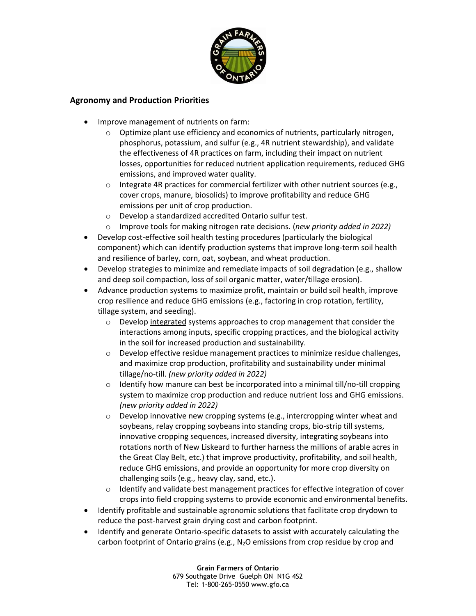

## **Agronomy and Production Priorities**

- Improve management of nutrients on farm:
	- o Optimize plant use efficiency and economics of nutrients, particularly nitrogen, phosphorus, potassium, and sulfur (e.g., 4R nutrient stewardship), and validate the effectiveness of 4R practices on farm, including their impact on nutrient losses, opportunities for reduced nutrient application requirements, reduced GHG emissions, and improved water quality.
	- $\circ$  Integrate 4R practices for commercial fertilizer with other nutrient sources (e.g., cover crops, manure, biosolids) to improve profitability and reduce GHG emissions per unit of crop production.
	- o Develop a standardized accredited Ontario sulfur test.
	- o Improve tools for making nitrogen rate decisions. (*new priority added in 2022)*
- Develop cost-effective soil health testing procedures (particularly the biological component) which can identify production systems that improve long-term soil health and resilience of barley, corn, oat, soybean, and wheat production.
- Develop strategies to minimize and remediate impacts of soil degradation (e.g., shallow and deep soil compaction, loss of soil organic matter, water/tillage erosion).
- Advance production systems to maximize profit, maintain or build soil health, improve crop resilience and reduce GHG emissions (e.g., factoring in crop rotation, fertility, tillage system, and seeding).
	- $\circ$  Develop integrated systems approaches to crop management that consider the interactions among inputs, specific cropping practices, and the biological activity in the soil for increased production and sustainability.
	- $\circ$  Develop effective residue management practices to minimize residue challenges, and maximize crop production, profitability and sustainability under minimal tillage/no-till. *(new priority added in 2022)*
	- $\circ$  Identify how manure can best be incorporated into a minimal till/no-till cropping system to maximize crop production and reduce nutrient loss and GHG emissions. *(new priority added in 2022)*
	- $\circ$  Develop innovative new cropping systems (e.g., intercropping winter wheat and soybeans, relay cropping soybeans into standing crops, bio-strip till systems, innovative cropping sequences, increased diversity, integrating soybeans into rotations north of New Liskeard to further harness the millions of arable acres in the Great Clay Belt, etc.) that improve productivity, profitability, and soil health, reduce GHG emissions, and provide an opportunity for more crop diversity on challenging soils (e.g., heavy clay, sand, etc.).
	- o Identify and validate best management practices for effective integration of cover crops into field cropping systems to provide economic and environmental benefits.
- Identify profitable and sustainable agronomic solutions that facilitate crop drydown to reduce the post-harvest grain drying cost and carbon footprint.
- Identify and generate Ontario-specific datasets to assist with accurately calculating the carbon footprint of Ontario grains (e.g.,  $N_2O$  emissions from crop residue by crop and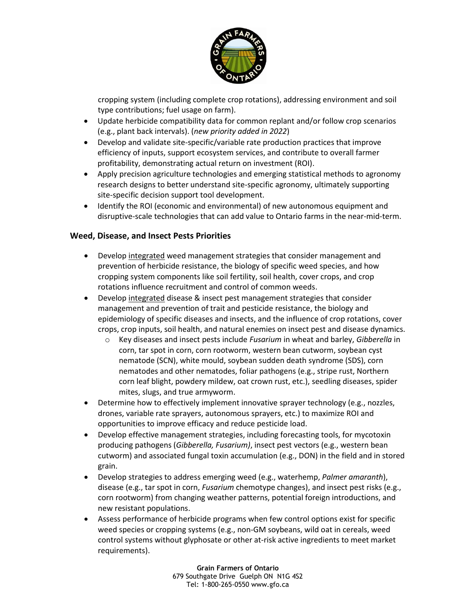

cropping system (including complete crop rotations), addressing environment and soil type contributions; fuel usage on farm).

- Update herbicide compatibility data for common replant and/or follow crop scenarios (e.g., plant back intervals). (*new priority added in 2022*)
- Develop and validate site-specific/variable rate production practices that improve efficiency of inputs, support ecosystem services, and contribute to overall farmer profitability, demonstrating actual return on investment (ROI).
- Apply precision agriculture technologies and emerging statistical methods to agronomy research designs to better understand site-specific agronomy, ultimately supporting site-specific decision support tool development.
- Identify the ROI (economic and environmental) of new autonomous equipment and disruptive-scale technologies that can add value to Ontario farms in the near-mid-term.

# **Weed, Disease, and Insect Pests Priorities**

- Develop integrated weed management strategies that consider management and prevention of herbicide resistance, the biology of specific weed species, and how cropping system components like soil fertility, soil health, cover crops, and crop rotations influence recruitment and control of common weeds.
- Develop integrated disease & insect pest management strategies that consider management and prevention of trait and pesticide resistance, the biology and epidemiology of specific diseases and insects, and the influence of crop rotations, cover crops, crop inputs, soil health, and natural enemies on insect pest and disease dynamics.
	- o Key diseases and insect pests include *Fusarium* in wheat and barley, *Gibberella* in corn, tar spot in corn, corn rootworm, western bean cutworm, soybean cyst nematode (SCN), white mould, soybean sudden death syndrome (SDS), corn nematodes and other nematodes, foliar pathogens (e.g., stripe rust, Northern corn leaf blight, powdery mildew, oat crown rust, etc.), seedling diseases, spider mites, slugs, and true armyworm.
- Determine how to effectively implement innovative sprayer technology (e.g., nozzles, drones, variable rate sprayers, autonomous sprayers, etc.) to maximize ROI and opportunities to improve efficacy and reduce pesticide load.
- Develop effective management strategies, including forecasting tools, for mycotoxin producing pathogens (*Gibberella, Fusarium)*, insect pest vectors (e.g., western bean cutworm) and associated fungal toxin accumulation (e.g., DON) in the field and in stored grain.
- Develop strategies to address emerging weed (e.g., waterhemp, *Palmer amaranth*), disease (e.g., tar spot in corn, *Fusarium* chemotype changes), and insect pest risks (e.g., corn rootworm) from changing weather patterns, potential foreign introductions, and new resistant populations.
- Assess performance of herbicide programs when few control options exist for specific weed species or cropping systems (e.g., non-GM soybeans, wild oat in cereals, weed control systems without glyphosate or other at-risk active ingredients to meet market requirements).